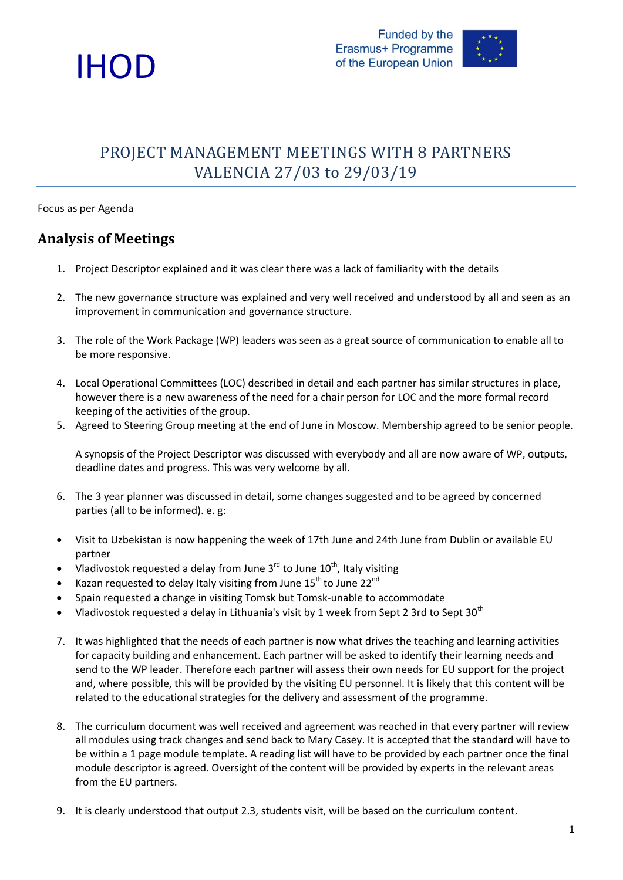



### PROJECT MANAGEMENT MEETINGS WITH 8 PARTNERS VALENCIA 27/03 to 29/03/19

#### Focus as per Agenda

### **Analysis of Meetings**

- 1. Project Descriptor explained and it was clear there was a lack of familiarity with the details
- 2. The new governance structure was explained and very well received and understood by all and seen as an improvement in communication and governance structure.
- 3. The role of the Work Package (WP) leaders was seen as a great source of communication to enable all to be more responsive.
- 4. Local Operational Committees (LOC) described in detail and each partner has similar structures in place, however there is a new awareness of the need for a chair person for LOC and the more formal record keeping of the activities of the group.
- 5. Agreed to Steering Group meeting at the end of June in Moscow. Membership agreed to be senior people.

A synopsis of the Project Descriptor was discussed with everybody and all are now aware of WP, outputs, deadline dates and progress. This was very welcome by all.

- 6. The 3 year planner was discussed in detail, some changes suggested and to be agreed by concerned parties (all to be informed). e. g:
- Visit to Uzbekistan is now happening the week of 17th June and 24th June from Dublin or available EU partner
- Vladivostok requested a delay from June  $3^{rd}$  to June  $10^{th}$ , Italy visiting
- Kazan requested to delay Italy visiting from June  $15^{th}$  to June  $22^{nd}$
- Spain requested a change in visiting Tomsk but Tomsk-unable to accommodate
- Vladivostok requested a delay in Lithuania's visit by 1 week from Sept 2 3rd to Sept 30<sup>th</sup>
- 7. It was highlighted that the needs of each partner is now what drives the teaching and learning activities for capacity building and enhancement. Each partner will be asked to identify their learning needs and send to the WP leader. Therefore each partner will assess their own needs for EU support for the project and, where possible, this will be provided by the visiting EU personnel. It is likely that this content will be related to the educational strategies for the delivery and assessment of the programme.
- 8. The curriculum document was well received and agreement was reached in that every partner will review all modules using track changes and send back to Mary Casey. It is accepted that the standard will have to be within a 1 page module template. A reading list will have to be provided by each partner once the final module descriptor is agreed. Oversight of the content will be provided by experts in the relevant areas from the EU partners.
- 9. It is clearly understood that output 2.3, students visit, will be based on the curriculum content.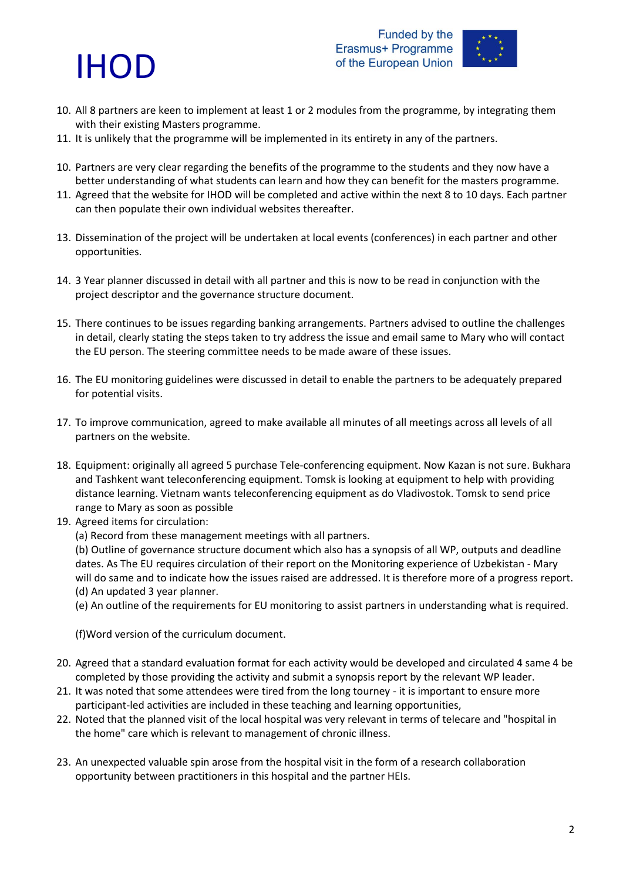## IHOD



- 10. All 8 partners are keen to implement at least 1 or 2 modules from the programme, by integrating them with their existing Masters programme.
- 11. It is unlikely that the programme will be implemented in its entirety in any of the partners.
- 10. Partners are very clear regarding the benefits of the programme to the students and they now have a better understanding of what students can learn and how they can benefit for the masters programme.
- 11. Agreed that the website for IHOD will be completed and active within the next 8 to 10 days. Each partner can then populate their own individual websites thereafter.
- 13. Dissemination of the project will be undertaken at local events (conferences) in each partner and other opportunities.
- 14. 3 Year planner discussed in detail with all partner and this is now to be read in conjunction with the project descriptor and the governance structure document.
- 15. There continues to be issues regarding banking arrangements. Partners advised to outline the challenges in detail, clearly stating the steps taken to try address the issue and email same to Mary who will contact the EU person. The steering committee needs to be made aware of these issues.
- 16. The EU monitoring guidelines were discussed in detail to enable the partners to be adequately prepared for potential visits.
- 17. To improve communication, agreed to make available all minutes of all meetings across all levels of all partners on the website.
- 18. Equipment: originally all agreed 5 purchase Tele-conferencing equipment. Now Kazan is not sure. Bukhara and Tashkent want teleconferencing equipment. Tomsk is looking at equipment to help with providing distance learning. Vietnam wants teleconferencing equipment as do Vladivostok. Tomsk to send price range to Mary as soon as possible
- 19. Agreed items for circulation:
	- (a) Record from these management meetings with all partners.

(b) Outline of governance structure document which also has a synopsis of all WP, outputs and deadline dates. As The EU requires circulation of their report on the Monitoring experience of Uzbekistan - Mary will do same and to indicate how the issues raised are addressed. It is therefore more of a progress report. (d) An updated 3 year planner.

(e) An outline of the requirements for EU monitoring to assist partners in understanding what is required.

(f)Word version of the curriculum document.

- 20. Agreed that a standard evaluation format for each activity would be developed and circulated 4 same 4 be completed by those providing the activity and submit a synopsis report by the relevant WP leader.
- 21. It was noted that some attendees were tired from the long tourney it is important to ensure more participant-led activities are included in these teaching and learning opportunities,
- 22. Noted that the planned visit of the local hospital was very relevant in terms of telecare and "hospital in the home" care which is relevant to management of chronic illness.
- 23. An unexpected valuable spin arose from the hospital visit in the form of a research collaboration opportunity between practitioners in this hospital and the partner HEIs.